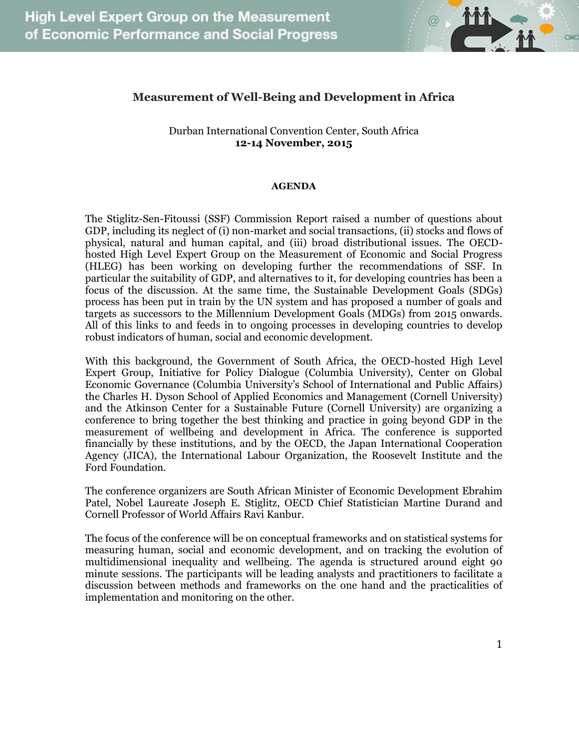

## **Measurement of Well-Being and Development in Africa**

## Durban International Convention Center, South Africa **12-14 November, 2015**

## **AGENDA**

The Stiglitz-Sen-Fitoussi (SSF) Commission Report raised a number of questions about GDP, including its neglect of (i) non-market and social transactions, (ii) stocks and flows of physical, natural and human capital, and (iii) broad distributional issues. The OECDhosted High Level Expert Group on the Measurement of Economic and Social Progress (HLEG) has been working on developing further the recommendations of SSF. In particular the suitability of GDP, and alternatives to it, for developing countries has been a focus of the discussion. At the same time, the Sustainable Development Goals (SDGs) process has been put in train by the UN system and has proposed a number of goals and targets as successors to the Millennium Development Goals (MDGs) from 2015 onwards. All of this links to and feeds in to ongoing processes in developing countries to develop robust indicators of human, social and economic development.

With this background, the Government of South Africa, the OECD-hosted High Level Expert Group, Initiative for Policy Dialogue (Columbia University), Center on Global Economic Governance (Columbia University's School of International and Public Affairs) the Charles H. Dyson School of Applied Economics and Management (Cornell University) and the Atkinson Center for a Sustainable Future (Cornell University) are organizing a conference to bring together the best thinking and practice in going beyond GDP in the measurement of wellbeing and development in Africa. The conference is supported financially by these institutions, and by the OECD, the Japan International Cooperation Agency (JICA), the International Labour Organization, the Roosevelt Institute and the Ford Foundation.

The conference organizers are South African Minister of Economic Development Ebrahim Patel, Nobel Laureate Joseph E. Stiglitz, OECD Chief Statistician Martine Durand and Cornell Professor of World Affairs Ravi Kanbur.

The focus of the conference will be on conceptual frameworks and on statistical systems for measuring human, social and economic development, and on tracking the evolution of multidimensional inequality and wellbeing. The agenda is structured around eight 90 minute sessions. The participants will be leading analysts and practitioners to facilitate a discussion between methods and frameworks on the one hand and the practicalities of implementation and monitoring on the other.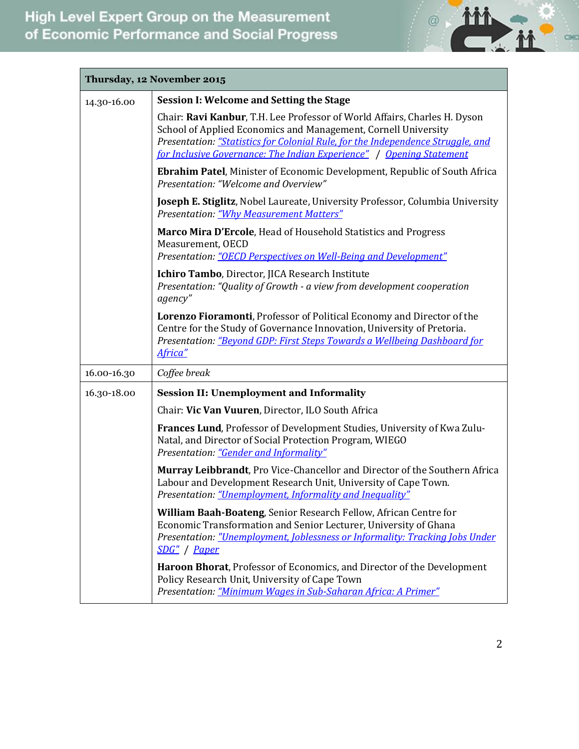

| Thursday, 12 November 2015 |                                                                                                                                                                                                                                                                                                        |  |
|----------------------------|--------------------------------------------------------------------------------------------------------------------------------------------------------------------------------------------------------------------------------------------------------------------------------------------------------|--|
| 14.30-16.00                | <b>Session I: Welcome and Setting the Stage</b>                                                                                                                                                                                                                                                        |  |
|                            | Chair: Ravi Kanbur, T.H. Lee Professor of World Affairs, Charles H. Dyson<br>School of Applied Economics and Management, Cornell University<br>Presentation: "Statistics for Colonial Rule, for the Independence Struggle, and<br>for Inclusive Governance: The Indian Experience"   Opening Statement |  |
|                            | <b>Ebrahim Patel, Minister of Economic Development, Republic of South Africa</b><br>Presentation: "Welcome and Overview"                                                                                                                                                                               |  |
|                            | Joseph E. Stiglitz, Nobel Laureate, University Professor, Columbia University<br><b>Presentation: "Why Measurement Matters"</b>                                                                                                                                                                        |  |
|                            | Marco Mira D'Ercole, Head of Household Statistics and Progress<br>Measurement, OECD<br>Presentation: "OECD Perspectives on Well-Being and Development"                                                                                                                                                 |  |
|                            | Ichiro Tambo, Director, JICA Research Institute<br>Presentation: "Quality of Growth - a view from development cooperation<br>agency"                                                                                                                                                                   |  |
|                            | Lorenzo Fioramonti, Professor of Political Economy and Director of the<br>Centre for the Study of Governance Innovation, University of Pretoria.<br>Presentation: "Beyond GDP: First Steps Towards a Wellbeing Dashboard for<br>Africa"                                                                |  |
| 16.00-16.30                | Coffee break                                                                                                                                                                                                                                                                                           |  |
| 16.30-18.00                | <b>Session II: Unemployment and Informality</b>                                                                                                                                                                                                                                                        |  |
|                            | Chair: Vic Van Vuuren, Director, ILO South Africa                                                                                                                                                                                                                                                      |  |
|                            | Frances Lund, Professor of Development Studies, University of Kwa Zulu-<br>Natal, and Director of Social Protection Program, WIEGO<br>Presentation: "Gender and Informality"                                                                                                                           |  |
|                            | Murray Leibbrandt, Pro Vice-Chancellor and Director of the Southern Africa<br>Labour and Development Research Unit, University of Cape Town.<br><i>Presentation: "Unemployment, Informality and Inequality"</i>                                                                                        |  |
|                            | William Baah-Boateng, Senior Research Fellow, African Centre for<br>Economic Transformation and Senior Lecturer, University of Ghana<br>Presentation: "Unemployment, Joblessness or Informality: Tracking Jobs Under<br>SDG" / Paper                                                                   |  |
|                            | Haroon Bhorat, Professor of Economics, and Director of the Development<br>Policy Research Unit, University of Cape Town<br>Presentation: "Minimum Wages in Sub-Saharan Africa: A Primer"                                                                                                               |  |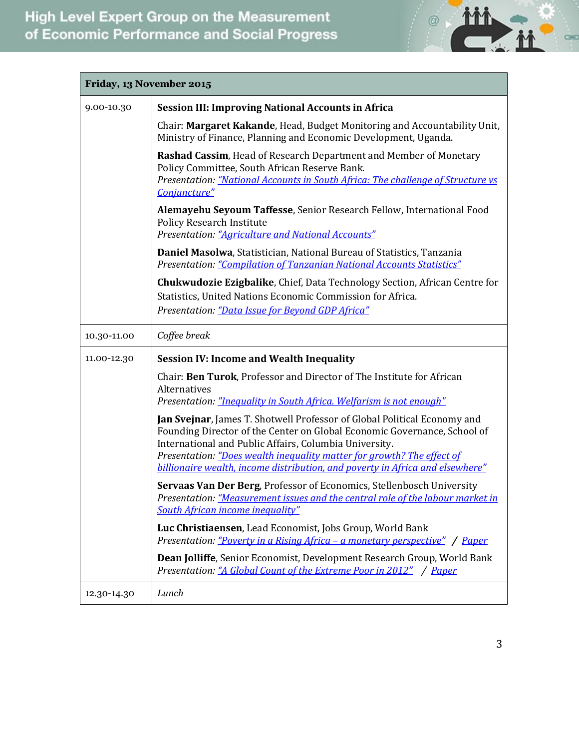

| Friday, 13 November 2015 |                                                                                                                                                                                                                                                                                                                                                                                                                                                  |  |
|--------------------------|--------------------------------------------------------------------------------------------------------------------------------------------------------------------------------------------------------------------------------------------------------------------------------------------------------------------------------------------------------------------------------------------------------------------------------------------------|--|
| 9.00-10.30               | <b>Session III: Improving National Accounts in Africa</b>                                                                                                                                                                                                                                                                                                                                                                                        |  |
|                          | Chair: Margaret Kakande, Head, Budget Monitoring and Accountability Unit,<br>Ministry of Finance, Planning and Economic Development, Uganda.                                                                                                                                                                                                                                                                                                     |  |
|                          | Rashad Cassim, Head of Research Department and Member of Monetary<br>Policy Committee, South African Reserve Bank.<br>Presentation: "National Accounts in South Africa: The challenge of Structure vs<br>Conjuncture"                                                                                                                                                                                                                            |  |
|                          | Alemayehu Seyoum Taffesse, Senior Research Fellow, International Food<br><b>Policy Research Institute</b><br>Presentation: "Agriculture and National Accounts"                                                                                                                                                                                                                                                                                   |  |
|                          | Daniel Masolwa, Statistician, National Bureau of Statistics, Tanzania<br>Presentation: "Compilation of Tanzanian National Accounts Statistics"                                                                                                                                                                                                                                                                                                   |  |
|                          | <b>Chukwudozie Ezigbalike, Chief, Data Technology Section, African Centre for</b><br>Statistics, United Nations Economic Commission for Africa.<br>Presentation: "Data Issue for Beyond GDP Africa"                                                                                                                                                                                                                                              |  |
| 10.30-11.00              | Coffee break                                                                                                                                                                                                                                                                                                                                                                                                                                     |  |
| 11.00-12.30              | <b>Session IV: Income and Wealth Inequality</b>                                                                                                                                                                                                                                                                                                                                                                                                  |  |
|                          | Chair: Ben Turok, Professor and Director of The Institute for African<br>Alternatives                                                                                                                                                                                                                                                                                                                                                            |  |
|                          | Presentation: "Inequality in South Africa. Welfarism is not enough"<br>Jan Svejnar, James T. Shotwell Professor of Global Political Economy and<br>Founding Director of the Center on Global Economic Governance, School of<br>International and Public Affairs, Columbia University.<br>Presentation: "Does wealth inequality matter for growth? The effect of<br>billionaire wealth, income distribution, and poverty in Africa and elsewhere" |  |
|                          | Servaas Van Der Berg, Professor of Economics, Stellenbosch University<br>Presentation: "Measurement issues and the central role of the labour market in<br>South African income inequality"                                                                                                                                                                                                                                                      |  |
|                          | Luc Christiaensen, Lead Economist, Jobs Group, World Bank<br>Presentation: "Poverty in a Rising Africa - a monetary perspective" / Paper                                                                                                                                                                                                                                                                                                         |  |
|                          | Dean Jolliffe, Senior Economist, Development Research Group, World Bank<br>Presentation: "A Global Count of the Extreme Poor in 2012" / Paper                                                                                                                                                                                                                                                                                                    |  |
| 12.30-14.30              | Lunch                                                                                                                                                                                                                                                                                                                                                                                                                                            |  |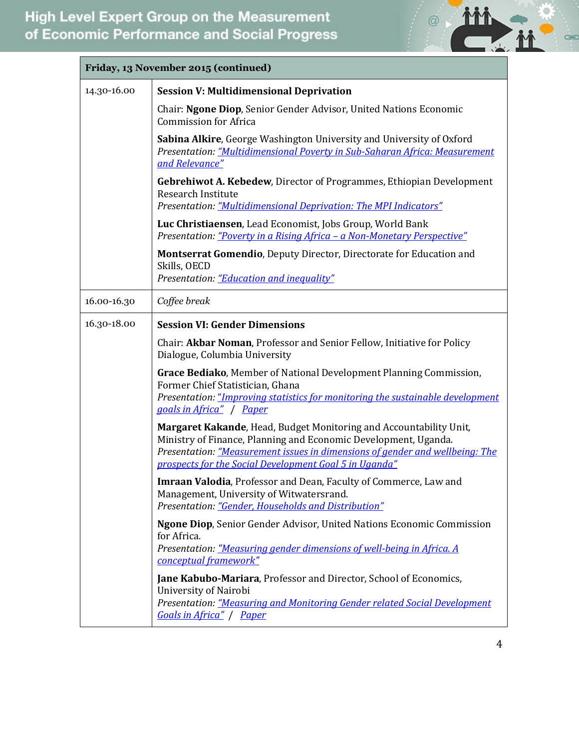

| Friday, 13 November 2015 (continued) |                                                                                                                                                                                                                                                                                 |  |
|--------------------------------------|---------------------------------------------------------------------------------------------------------------------------------------------------------------------------------------------------------------------------------------------------------------------------------|--|
| 14.30-16.00                          | <b>Session V: Multidimensional Deprivation</b>                                                                                                                                                                                                                                  |  |
|                                      | Chair: Ngone Diop, Senior Gender Advisor, United Nations Economic<br><b>Commission for Africa</b>                                                                                                                                                                               |  |
|                                      | Sabina Alkire, George Washington University and University of Oxford<br>Presentation: "Multidimensional Poverty in Sub-Saharan Africa: Measurement<br>and Relevance"                                                                                                            |  |
|                                      | Gebrehiwot A. Kebedew, Director of Programmes, Ethiopian Development<br>Research Institute<br>Presentation: "Multidimensional Deprivation: The MPI Indicators"                                                                                                                  |  |
|                                      | Luc Christiaensen, Lead Economist, Jobs Group, World Bank<br>Presentation: "Poverty in a Rising Africa - a Non-Monetary Perspective"                                                                                                                                            |  |
|                                      | Montserrat Gomendio, Deputy Director, Directorate for Education and<br>Skills, OECD<br>Presentation: "Education and inequality"                                                                                                                                                 |  |
| 16.00-16.30                          | Coffee break                                                                                                                                                                                                                                                                    |  |
| 16.30-18.00                          | <b>Session VI: Gender Dimensions</b>                                                                                                                                                                                                                                            |  |
|                                      | Chair: Akbar Noman, Professor and Senior Fellow, Initiative for Policy<br>Dialogue, Columbia University                                                                                                                                                                         |  |
|                                      | Grace Bediako, Member of National Development Planning Commission,<br>Former Chief Statistician, Ghana<br>Presentation: "Improving statistics for monitoring the sustainable development<br>goals in Africa" / Paper                                                            |  |
|                                      | Margaret Kakande, Head, Budget Monitoring and Accountability Unit,<br>Ministry of Finance, Planning and Economic Development, Uganda.<br>Presentation: "Measurement issues in dimensions of gender and wellbeing: The<br>prospects for the Social Development Goal 5 in Uganda" |  |
|                                      | Imraan Valodia, Professor and Dean, Faculty of Commerce, Law and<br>Management, University of Witwatersrand.<br>Presentation: "Gender, Households and Distribution"                                                                                                             |  |
|                                      | Ngone Diop, Senior Gender Advisor, United Nations Economic Commission<br>for Africa.<br>Presentation: "Measuring gender dimensions of well-being in Africa. A<br>conceptual framework"                                                                                          |  |
|                                      | Jane Kabubo-Mariara, Professor and Director, School of Economics,<br>University of Nairobi<br>Presentation: "Measuring and Monitoring Gender related Social Development<br>Goals in Africa" / Paper                                                                             |  |